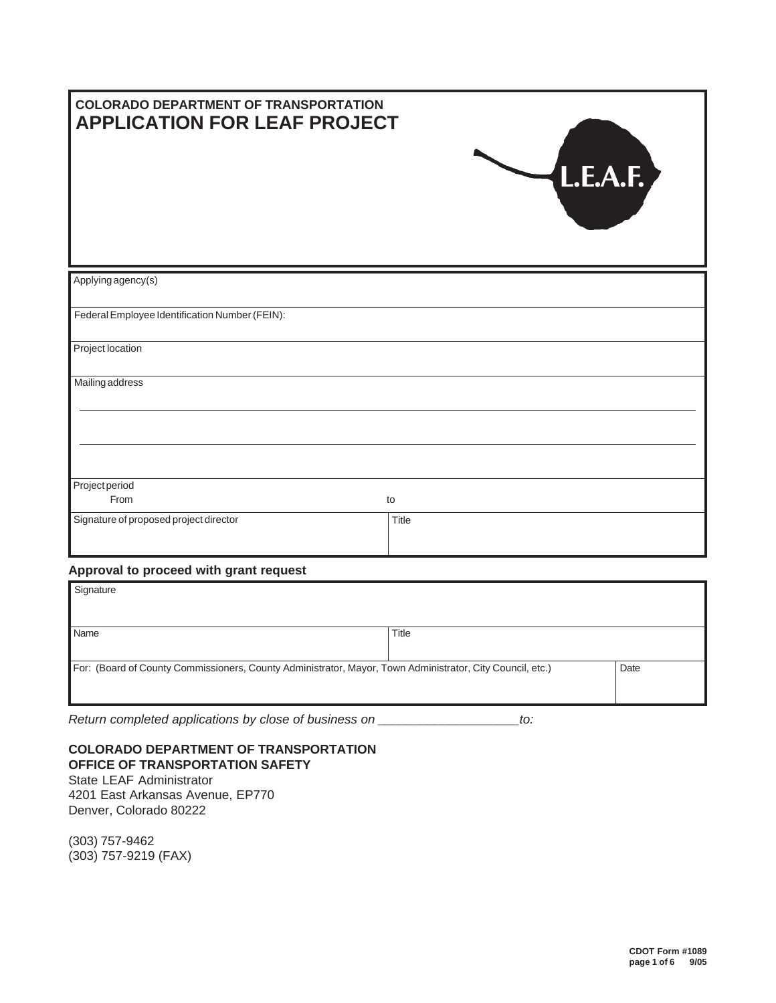| <b>COLORADO DEPARTMENT OF TRANSPORTATION</b><br><b>APPLICATION FOR LEAF PROJECT</b> | L.E.A.F. |
|-------------------------------------------------------------------------------------|----------|
| Applying agency(s)                                                                  |          |
| Federal Employee Identification Number (FEIN):                                      |          |
| Project location                                                                    |          |
| Mailing address                                                                     |          |
|                                                                                     |          |
|                                                                                     |          |
| Project period                                                                      |          |
| From                                                                                | to       |
| Signature of proposed project director                                              | Title    |
| Approval to proceed with grant request                                              |          |
| Signature                                                                           |          |

| Name                                                                                                      | Title |      |
|-----------------------------------------------------------------------------------------------------------|-------|------|
| For: (Board of County Commissioners, County Administrator, Mayor, Town Administrator, City Council, etc.) |       | Date |

*Return completed applications by close of business on \_\_\_\_\_\_\_\_\_\_\_\_\_\_\_\_\_\_\_\_to:*

## **COLORADO DEPARTMENT OF TRANSPORTATION OFFICE OF TRANSPORTATION SAFETY**

State LEAF Administrator 4201 East Arkansas Avenue, EP770 Denver, Colorado 80222

(303) 757-9462 (303) 757-9219 (FAX)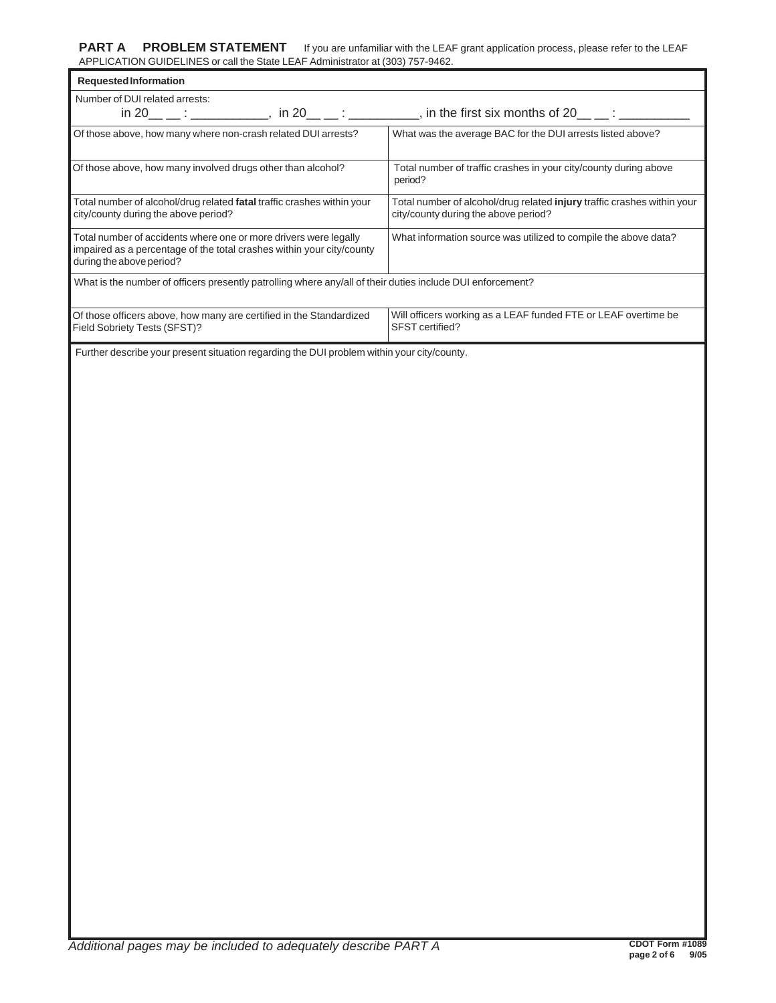| <b>Requested Information</b>                                                                                                                                          | $\frac{1}{2}$ . $\frac{1}{2}$ . $\frac{1}{2}$ . $\frac{1}{2}$ . $\frac{1}{2}$ . $\frac{1}{2}$ . $\frac{1}{2}$ . $\frac{1}{2}$ . $\frac{1}{2}$ |
|-----------------------------------------------------------------------------------------------------------------------------------------------------------------------|-----------------------------------------------------------------------------------------------------------------------------------------------|
| Number of DUI related arrests:                                                                                                                                        |                                                                                                                                               |
|                                                                                                                                                                       | $\overline{\phantom{a}}$ , in the first six months of 20 $\overline{\phantom{a}}$ $\overline{\phantom{a}}$                                    |
| Of those above, how many where non-crash related DUI arrests?                                                                                                         | What was the average BAC for the DUI arrests listed above?                                                                                    |
| Of those above, how many involved drugs other than alcohol?                                                                                                           | Total number of traffic crashes in your city/county during above<br>period?                                                                   |
| Total number of alcohol/drug related fatal traffic crashes within your<br>city/county during the above period?                                                        | Total number of alcohol/drug related injury traffic crashes within your<br>city/county during the above period?                               |
| Total number of accidents where one or more drivers were legally<br>impaired as a percentage of the total crashes within your city/county<br>during the above period? | What information source was utilized to compile the above data?                                                                               |
| What is the number of officers presently patrolling where any/all of their duties include DUI enforcement?                                                            |                                                                                                                                               |
| Of those officers above, how many are certified in the Standardized<br>Field Sobriety Tests (SFST)?                                                                   | Will officers working as a LEAF funded FTE or LEAF overtime be<br>SFST certified?                                                             |
|                                                                                                                                                                       |                                                                                                                                               |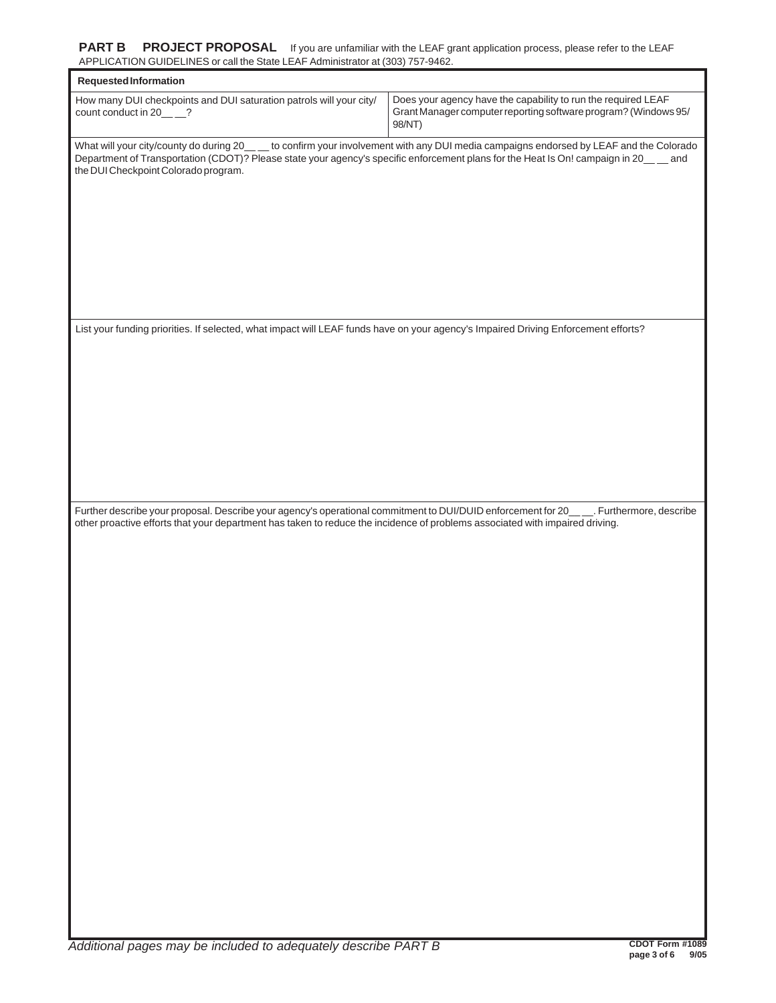| Requested Information                                                                                                                                                       |                                                                                                                                            |
|-----------------------------------------------------------------------------------------------------------------------------------------------------------------------------|--------------------------------------------------------------------------------------------------------------------------------------------|
| How many DUI checkpoints and DUI saturation patrols will your city/<br>count conduct in 20____?                                                                             | Does your agency have the capability to run the required LEAF<br>Grant Manager computer reporting software program? (Windows 95/<br>98/NT) |
| Department of Transportation (CDOT)? Please state your agency's specific enforcement plans for the Heat Is On! campaign in 20__ and<br>the DUI Checkpoint Colorado program. | What will your city/county do during 20___ to confirm your involvement with any DUI media campaigns endorsed by LEAF and the Colorado      |
|                                                                                                                                                                             |                                                                                                                                            |
|                                                                                                                                                                             |                                                                                                                                            |
|                                                                                                                                                                             |                                                                                                                                            |
| List your funding priorities. If selected, what impact will LEAF funds have on your agency's Impaired Driving Enforcement efforts?                                          |                                                                                                                                            |
|                                                                                                                                                                             |                                                                                                                                            |
|                                                                                                                                                                             |                                                                                                                                            |
|                                                                                                                                                                             |                                                                                                                                            |
|                                                                                                                                                                             |                                                                                                                                            |
| other proactive efforts that your department has taken to reduce the incidence of problems associated with impaired driving.                                                | Further describe your proposal. Describe your agency's operational commitment to DUI/DUID enforcement for 20____. Furthermore, describe    |
|                                                                                                                                                                             |                                                                                                                                            |
|                                                                                                                                                                             |                                                                                                                                            |
|                                                                                                                                                                             |                                                                                                                                            |
|                                                                                                                                                                             |                                                                                                                                            |
|                                                                                                                                                                             |                                                                                                                                            |
|                                                                                                                                                                             |                                                                                                                                            |
|                                                                                                                                                                             |                                                                                                                                            |
|                                                                                                                                                                             |                                                                                                                                            |
|                                                                                                                                                                             |                                                                                                                                            |
|                                                                                                                                                                             |                                                                                                                                            |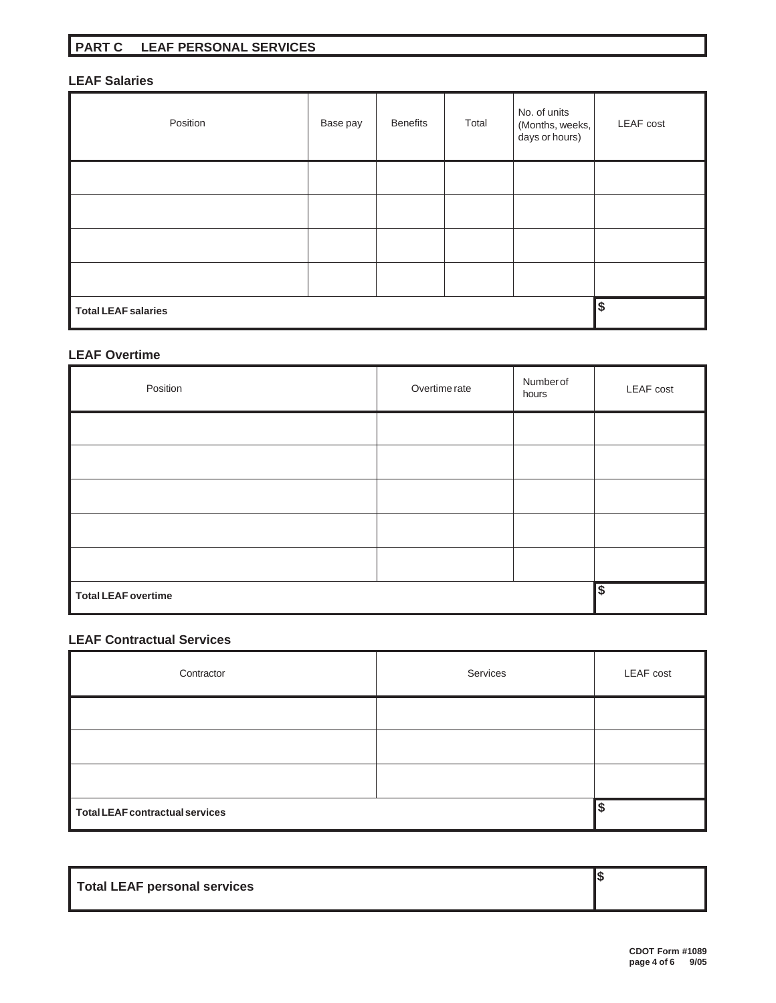### **LEAF Salaries**

| Position                   | Base pay | <b>Benefits</b> | Total | No. of units<br>(Months, weeks,<br>days or hours) | <b>LEAF</b> cost |
|----------------------------|----------|-----------------|-------|---------------------------------------------------|------------------|
|                            |          |                 |       |                                                   |                  |
|                            |          |                 |       |                                                   |                  |
|                            |          |                 |       |                                                   |                  |
|                            |          |                 |       |                                                   |                  |
| <b>Total LEAF salaries</b> |          |                 |       |                                                   | \$               |

### **LEAF Overtime**

| Position                   | Overtime rate | Number of<br>hours | <b>LEAF</b> cost |
|----------------------------|---------------|--------------------|------------------|
|                            |               |                    |                  |
|                            |               |                    |                  |
|                            |               |                    |                  |
|                            |               |                    |                  |
|                            |               |                    |                  |
| <b>Total LEAF overtime</b> |               |                    | \$               |

#### **LEAF Contractual Services**

| Contractor                      | Services | LEAF cost |
|---------------------------------|----------|-----------|
|                                 |          |           |
|                                 |          |           |
|                                 |          |           |
| Total LEAF contractual services |          |           |

| Total LEAF personal services |  |
|------------------------------|--|
|                              |  |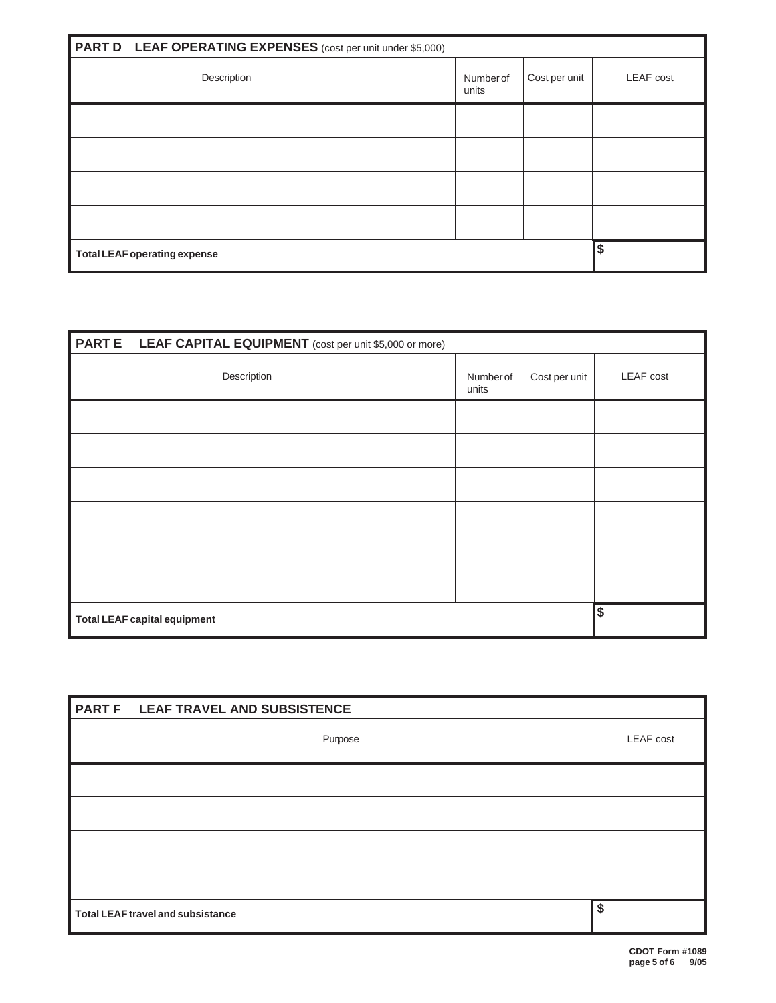|                                     | <b>PART D</b> LEAF OPERATING EXPENSES (cost per unit under \$5,000) |                    |               |                  |
|-------------------------------------|---------------------------------------------------------------------|--------------------|---------------|------------------|
|                                     | Description                                                         | Number of<br>units | Cost per unit | <b>LEAF</b> cost |
|                                     |                                                                     |                    |               |                  |
|                                     |                                                                     |                    |               |                  |
|                                     |                                                                     |                    |               |                  |
|                                     |                                                                     |                    |               |                  |
| <b>Total LEAF operating expense</b> |                                                                     |                    | \$            |                  |

| <b>PART E</b> LEAF CAPITAL EQUIPMENT (cost per unit \$5,000 or more) |                   |               |                  |
|----------------------------------------------------------------------|-------------------|---------------|------------------|
| Description                                                          | Numberof<br>units | Cost per unit | <b>LEAF</b> cost |
|                                                                      |                   |               |                  |
|                                                                      |                   |               |                  |
|                                                                      |                   |               |                  |
|                                                                      |                   |               |                  |
|                                                                      |                   |               |                  |
|                                                                      |                   |               |                  |
| <b>Total LEAF capital equipment</b>                                  |                   |               | \$               |

| PART F LEAF TRAVEL AND SUBSISTENCE       |                  |
|------------------------------------------|------------------|
| Purpose                                  | <b>LEAF</b> cost |
|                                          |                  |
|                                          |                  |
|                                          |                  |
|                                          |                  |
| <b>Total LEAF travel and subsistance</b> | $\overline{\$}$  |